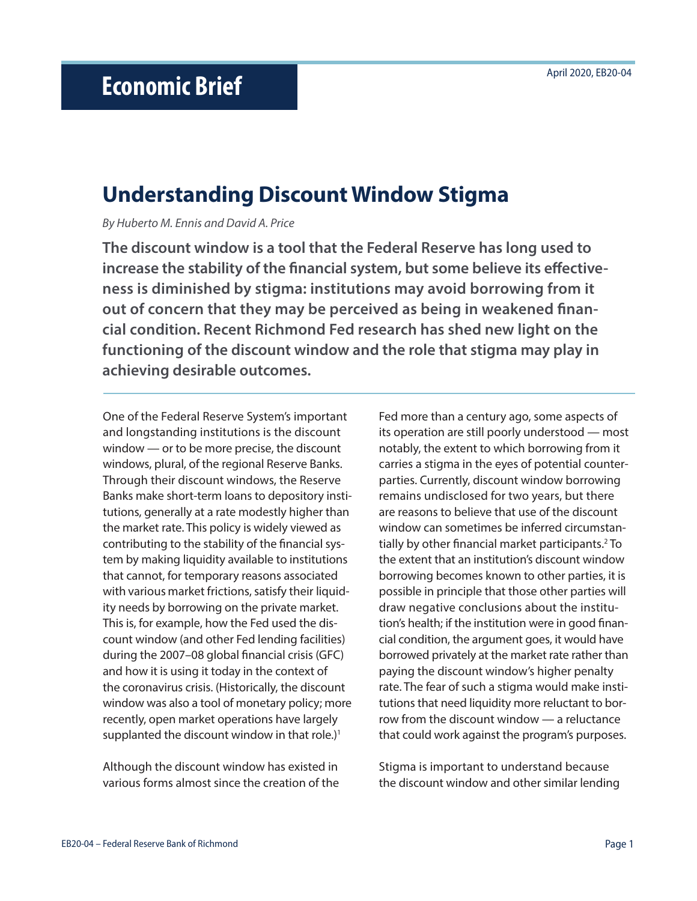# **Understanding Discount Window Stigma**

*By Huberto M. Ennis and David A. Price*

**The discount window is a tool that the Federal Reserve has long used to increase the stability of the financial system, but some believe its effectiveness is diminished by stigma: institutions may avoid borrowing from it out of concern that they may be perceived as being in weakened financial condition. Recent Richmond Fed research has shed new light on the functioning of the discount window and the role that stigma may play in achieving desirable outcomes.** 

One of the Federal Reserve System's important and longstanding institutions is the discount window — or to be more precise, the discount windows, plural, of the regional Reserve Banks. Through their discount windows, the Reserve Banks make short-term loans to depository institutions, generally at a rate modestly higher than the market rate. This policy is widely viewed as contributing to the stability of the financial system by making liquidity available to institutions that cannot, for temporary reasons associated with various market frictions, satisfy their liquidity needs by borrowing on the private market. This is, for example, how the Fed used the discount window (and other Fed lending facilities) during the 2007–08 global financial crisis (GFC) and how it is using it today in the context of the coronavirus crisis. (Historically, the discount window was also a tool of monetary policy; more recently, open market operations have largely supplanted the discount window in that role.)<sup>1</sup>

Although the discount window has existed in various forms almost since the creation of the Fed more than a century ago, some aspects of its operation are still poorly understood — most notably, the extent to which borrowing from it carries a stigma in the eyes of potential counterparties. Currently, discount window borrowing remains undisclosed for two years, but there are reasons to believe that use of the discount window can sometimes be inferred circumstantially by other financial market participants.<sup>2</sup> To the extent that an institution's discount window borrowing becomes known to other parties, it is possible in principle that those other parties will draw negative conclusions about the institution's health; if the institution were in good financial condition, the argument goes, it would have borrowed privately at the market rate rather than paying the discount window's higher penalty rate. The fear of such a stigma would make institutions that need liquidity more reluctant to borrow from the discount window — a reluctance that could work against the program's purposes.

Stigma is important to understand because the discount window and other similar lending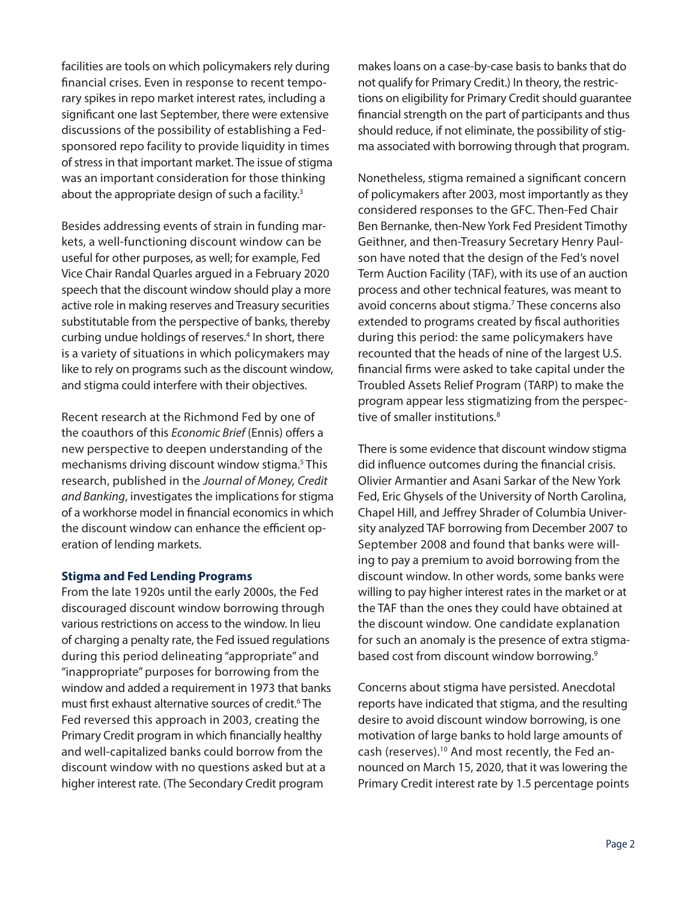facilities are tools on which policymakers rely during financial crises. Even in response to recent temporary spikes in repo market interest rates, including a significant one last September, there were extensive discussions of the possibility of establishing a Fedsponsored repo facility to provide liquidity in times of stress in that important market. The issue of stigma was an important consideration for those thinking about the appropriate design of such a facility.<sup>3</sup>

Besides addressing events of strain in funding markets, a well-functioning discount window can be useful for other purposes, as well; for example, Fed Vice Chair Randal Quarles argued in a February 2020 speech that the discount window should play a more active role in making reserves and Treasury securities substitutable from the perspective of banks, thereby curbing undue holdings of reserves.<sup>4</sup> In short, there is a variety of situations in which policymakers may like to rely on programs such as the discount window, and stigma could interfere with their objectives.

Recent research at the Richmond Fed by one of the coauthors of this *Economic Brief* (Ennis) offers a new perspective to deepen understanding of the mechanisms driving discount window stigma.5 This research, published in the *Journal of Money, Credit and Banking*, investigates the implications for stigma of a workhorse model in financial economics in which the discount window can enhance the efficient operation of lending markets.

## **Stigma and Fed Lending Programs**

From the late 1920s until the early 2000s, the Fed discouraged discount window borrowing through various restrictions on access to the window. In lieu of charging a penalty rate, the Fed issued regulations during this period delineating "appropriate" and "inappropriate" purposes for borrowing from the window and added a requirement in 1973 that banks must first exhaust alternative sources of credit.<sup>6</sup> The Fed reversed this approach in 2003, creating the Primary Credit program in which financially healthy and well-capitalized banks could borrow from the discount window with no questions asked but at a higher interest rate. (The Secondary Credit program

makes loans on a case-by-case basis to banks that do not qualify for Primary Credit.) In theory, the restrictions on eligibility for Primary Credit should guarantee financial strength on the part of participants and thus should reduce, if not eliminate, the possibility of stigma associated with borrowing through that program.

Nonetheless, stigma remained a significant concern of policymakers after 2003, most importantly as they considered responses to the GFC. Then-Fed Chair Ben Bernanke, then-New York Fed President Timothy Geithner, and then-Treasury Secretary Henry Paulson have noted that the design of the Fed's novel Term Auction Facility (TAF), with its use of an auction process and other technical features, was meant to avoid concerns about stigma.<sup>7</sup> These concerns also extended to programs created by fiscal authorities during this period: the same policymakers have recounted that the heads of nine of the largest U.S. financial firms were asked to take capital under the Troubled Assets Relief Program (TARP) to make the program appear less stigmatizing from the perspective of smaller institutions.<sup>8</sup>

There is some evidence that discount window stigma did influence outcomes during the financial crisis. Olivier Armantier and Asani Sarkar of the New York Fed, Eric Ghysels of the University of North Carolina, Chapel Hill, and Jeffrey Shrader of Columbia University analyzed TAF borrowing from December 2007 to September 2008 and found that banks were willing to pay a premium to avoid borrowing from the discount window. In other words, some banks were willing to pay higher interest rates in the market or at the TAF than the ones they could have obtained at the discount window. One candidate explanation for such an anomaly is the presence of extra stigmabased cost from discount window borrowing.9

Concerns about stigma have persisted. Anecdotal reports have indicated that stigma, and the resulting desire to avoid discount window borrowing, is one motivation of large banks to hold large amounts of cash (reserves).<sup>10</sup> And most recently, the Fed announced on March 15, 2020, that it was lowering the Primary Credit interest rate by 1.5 percentage points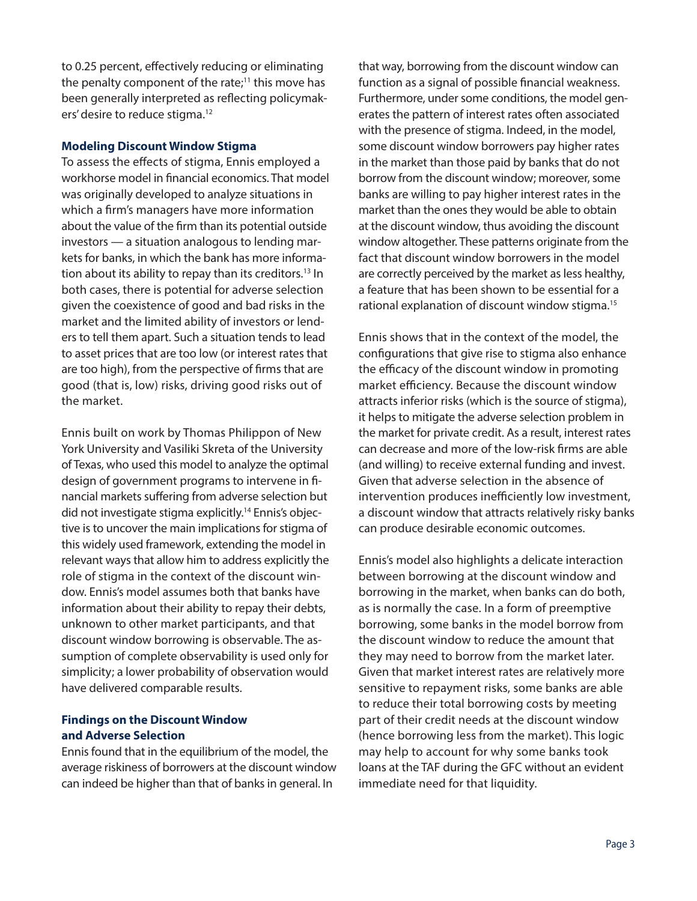to 0.25 percent, effectively reducing or eliminating the penalty component of the rate; $11$  this move has been generally interpreted as reflecting policymakers' desire to reduce stigma.12

## **Modeling Discount Window Stigma**

To assess the effects of stigma, Ennis employed a workhorse model in financial economics. That model was originally developed to analyze situations in which a firm's managers have more information about the value of the firm than its potential outside investors — a situation analogous to lending markets for banks, in which the bank has more information about its ability to repay than its creditors.13 In both cases, there is potential for adverse selection given the coexistence of good and bad risks in the market and the limited ability of investors or lenders to tell them apart. Such a situation tends to lead to asset prices that are too low (or interest rates that are too high), from the perspective of firms that are good (that is, low) risks, driving good risks out of the market.

Ennis built on work by Thomas Philippon of New York University and Vasiliki Skreta of the University of Texas, who used this model to analyze the optimal design of government programs to intervene in financial markets suffering from adverse selection but did not investigate stigma explicitly.14 Ennis's objective is to uncover the main implications for stigma of this widely used framework, extending the model in relevant ways that allow him to address explicitly the role of stigma in the context of the discount window. Ennis's model assumes both that banks have information about their ability to repay their debts, unknown to other market participants, and that discount window borrowing is observable. The assumption of complete observability is used only for simplicity; a lower probability of observation would have delivered comparable results.

## **Findings on the Discount Window and Adverse Selection**

Ennis found that in the equilibrium of the model, the average riskiness of borrowers at the discount window can indeed be higher than that of banks in general. In

that way, borrowing from the discount window can function as a signal of possible financial weakness. Furthermore, under some conditions, the model generates the pattern of interest rates often associated with the presence of stigma. Indeed, in the model, some discount window borrowers pay higher rates in the market than those paid by banks that do not borrow from the discount window; moreover, some banks are willing to pay higher interest rates in the market than the ones they would be able to obtain at the discount window, thus avoiding the discount window altogether. These patterns originate from the fact that discount window borrowers in the model are correctly perceived by the market as less healthy, a feature that has been shown to be essential for a rational explanation of discount window stigma.15

Ennis shows that in the context of the model, the configurations that give rise to stigma also enhance the efficacy of the discount window in promoting market efficiency. Because the discount window attracts inferior risks (which is the source of stigma), it helps to mitigate the adverse selection problem in the market for private credit. As a result, interest rates can decrease and more of the low-risk firms are able (and willing) to receive external funding and invest. Given that adverse selection in the absence of intervention produces inefficiently low investment, a discount window that attracts relatively risky banks can produce desirable economic outcomes.

Ennis's model also highlights a delicate interaction between borrowing at the discount window and borrowing in the market, when banks can do both, as is normally the case. In a form of preemptive borrowing, some banks in the model borrow from the discount window to reduce the amount that they may need to borrow from the market later. Given that market interest rates are relatively more sensitive to repayment risks, some banks are able to reduce their total borrowing costs by meeting part of their credit needs at the discount window (hence borrowing less from the market). This logic may help to account for why some banks took loans at the TAF during the GFC without an evident immediate need for that liquidity.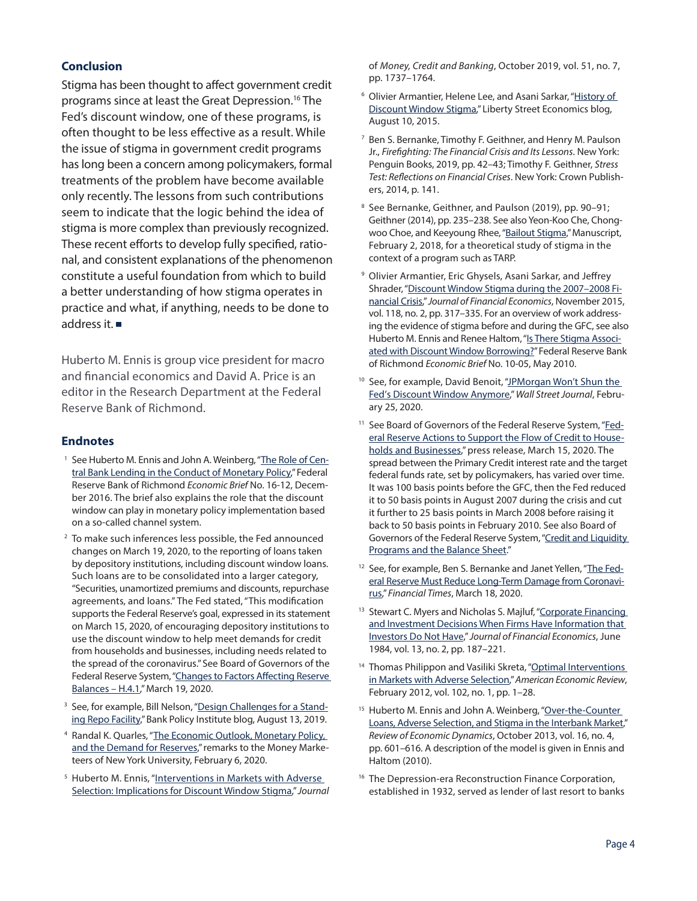## **Conclusion**

Stigma has been thought to affect government credit programs since at least the Great Depression.16 The Fed's discount window, one of these programs, is often thought to be less effective as a result. While the issue of stigma in government credit programs has long been a concern among policymakers, formal treatments of the problem have become available only recently. The lessons from such contributions seem to indicate that the logic behind the idea of stigma is more complex than previously recognized. These recent efforts to develop fully specified, rational, and consistent explanations of the phenomenon constitute a useful foundation from which to build a better understanding of how stigma operates in practice and what, if anything, needs to be done to address it.

Huberto M. Ennis is group vice president for macro and financial economics and David A. Price is an editor in the Research Department at the Federal Reserve Bank of Richmond.

## **Endnotes**

- <sup>1</sup> See Huberto M. Ennis and John A. Weinberg, ["The Role of Cen](https://www.richmondfed.org/publications/research/economic_brief/2016/eb_16-12)[tral Bank Lending in the Conduct of Monetary Policy](https://www.richmondfed.org/publications/research/economic_brief/2016/eb_16-12)," Federal Reserve Bank of Richmond *Economic Brief* No. 16-12, December 2016. The brief also explains the role that the discount window can play in monetary policy implementation based on a so-called channel system.
- 2 To make such inferences less possible, the Fed announced changes on March 19, 2020, to the reporting of loans taken by depository institutions, including discount window loans. Such loans are to be consolidated into a larger category, "Securities, unamortized premiums and discounts, repurchase agreements, and loans." The Fed stated, "This modification supports the Federal Reserve's goal, expressed in its statement on March 15, 2020, of encouraging depository institutions to use the discount window to help meet demands for credit from households and businesses, including needs related to the spread of the coronavirus." See Board of Governors of the Federal Reserve System, "Changes to Factors Affecting Reserve [Balances – H.4.1,](https://www.federalreserve.gov/feeds/h41.html)" March 19, 2020.
- <sup>3</sup> See, for example, Bill Nelson, "[Design Challenges for a Stand](https://bpi.com/design-challenges-for-a-standing-repo-facility/)[ing Repo Facility](https://bpi.com/design-challenges-for-a-standing-repo-facility/)," Bank Policy Institute blog, August 13, 2019.
- 4 Randal K. Quarles, "[The Economic Outlook, Monetary Policy,](https://www.federalreserve.gov/newsevents/speech/quarles20200206a.htm)  [and the Demand for Reserves](https://www.federalreserve.gov/newsevents/speech/quarles20200206a.htm)," remarks to the Money Marketeers of New York University, February 6, 2020.
- <sup>5</sup> Huberto M. Ennis, "Interventions in Markets with Adverse [Selection: Implications for Discount Window Stigma](https://doi.org/10.1111/jmcb.12583)," *Journal*

of *Money, Credit and Banking*, October 2019, vol. 51, no. 7, pp. 1737–1764.

- 6 Olivier Armantier, Helene Lee, and Asani Sarkar, "[History of](https://libertystreeteconomics.newyorkfed.org/2015/08/history-of-discount-window-stigma.html)  [Discount Window Stigma,](https://libertystreeteconomics.newyorkfed.org/2015/08/history-of-discount-window-stigma.html)" Liberty Street Economics blog, August 10, 2015.
- 7 Ben S. Bernanke, Timothy F. Geithner, and Henry M. Paulson Jr., *Firefighting: The Financial Crisis and Its Lessons*. New York: Penguin Books, 2019, pp. 42–43; Timothy F. Geithner, *Stress Test: Reflections on Financial Crises*. New York: Crown Publishers, 2014, p. 141.
- 8 See Bernanke, Geithner, and Paulson (2019), pp. 90–91; Geithner (2014), pp. 235–238. See also Yeon-Koo Che, Chongwoo Choe, and Keeyoung Rhee, ["Bailout Stigma,](https://papers.ssrn.com/sol3/papers.cfm?abstract_id=3208238)" Manuscript, February 2, 2018, for a theoretical study of stigma in the context of a program such as TARP.
- 9 Olivier Armantier, Eric Ghysels, Asani Sarkar, and Jeffrey Shrader, "[Discount Window Stigma during the 2007–2008 Fi](https://doi.org/10.1016/j.jfineco.2015.08.006)[nancial Crisis](https://doi.org/10.1016/j.jfineco.2015.08.006)," *Journal of Financial Economics*, November 2015, vol. 118, no. 2, pp. 317–335. For an overview of work addressing the evidence of stigma before and during the GFC, see also Huberto M. Ennis and Renee Haltom, "[Is There Stigma Associ](https://www.richmondfed.org/publications/research/economic_brief/2010/eb_10-05)[ated with Discount Window Borrowing?](https://www.richmondfed.org/publications/research/economic_brief/2010/eb_10-05)" Federal Reserve Bank of Richmond *Economic Brief* No. 10-05, May 2010.
- <sup>10</sup> See, for example, David Benoit, "JPMorgan Won't Shun the [Fed's Discount Window Anymore,](https://www.wsj.com/articles/jpmorgan-wont-shun-the-feds-discount-window-anymore-11582662187?mod=flipboard)" *Wall Street Journal*, February 25, 2020.
- <sup>11</sup> See Board of Governors of the Federal Reserve System, "[Fed](https://www.federalreserve.gov/newsevents/pressreleases/monetary20200315b.htm)[eral Reserve Actions to Support the Flow of Credit to House](https://www.federalreserve.gov/newsevents/pressreleases/monetary20200315b.htm)[holds and Businesses](https://www.federalreserve.gov/newsevents/pressreleases/monetary20200315b.htm)," press release, March 15, 2020. The spread between the Primary Credit interest rate and the target federal funds rate, set by policymakers, has varied over time. It was 100 basis points before the GFC, then the Fed reduced it to 50 basis points in August 2007 during the crisis and cut it further to 25 basis points in March 2008 before raising it back to 50 basis points in February 2010. See also Board of Governors of the Federal Reserve System, "Credit and Liquidity [Programs and the Balance Sheet](https://www.federalreserve.gov/monetarypolicy/bst_lendingdepository.htm)."
- <sup>12</sup> See, for example, Ben S. Bernanke and Janet Yellen, "[The Fed](https://www.ft.com/content/01f267a2-686c-11ea-a3c9-1fe6fedcca75)[eral Reserve Must Reduce Long-Term Damage from Coronavi](https://www.ft.com/content/01f267a2-686c-11ea-a3c9-1fe6fedcca75)[rus,](https://www.ft.com/content/01f267a2-686c-11ea-a3c9-1fe6fedcca75)" *Financial Times*, March 18, 2020.
- <sup>13</sup> Stewart C. Myers and Nicholas S. Majluf, "Corporate Financing [and Investment Decisions When Firms Have Information that](https://doi.org/10.1016/0304-405X(84)90023-0)  [Investors Do Not Have](https://doi.org/10.1016/0304-405X(84)90023-0)," *Journal of Financial Economics*, June 1984, vol. 13, no. 2, pp. 187–221.
- <sup>14</sup> Thomas Philippon and Vasiliki Skreta, "Optimal Interventions [in Markets with Adverse Selection,](https://doi.org/10.1257/aer.102.1.1)" *American Economic Review*, February 2012, vol. 102, no. 1, pp. 1–28.
- <sup>15</sup> Huberto M. Ennis and John A. Weinberg, "Over-the-Counter [Loans, Adverse Selection, and Stigma in the Interbank Market,](https://doi.org/10.1016/j.red.2012.09.005)" *Review of Economic Dynamics*, October 2013, vol. 16, no. 4, pp. 601–616. A description of the model is given in Ennis and Haltom (2010).
- <sup>16</sup> The Depression-era Reconstruction Finance Corporation, established in 1932, served as lender of last resort to banks